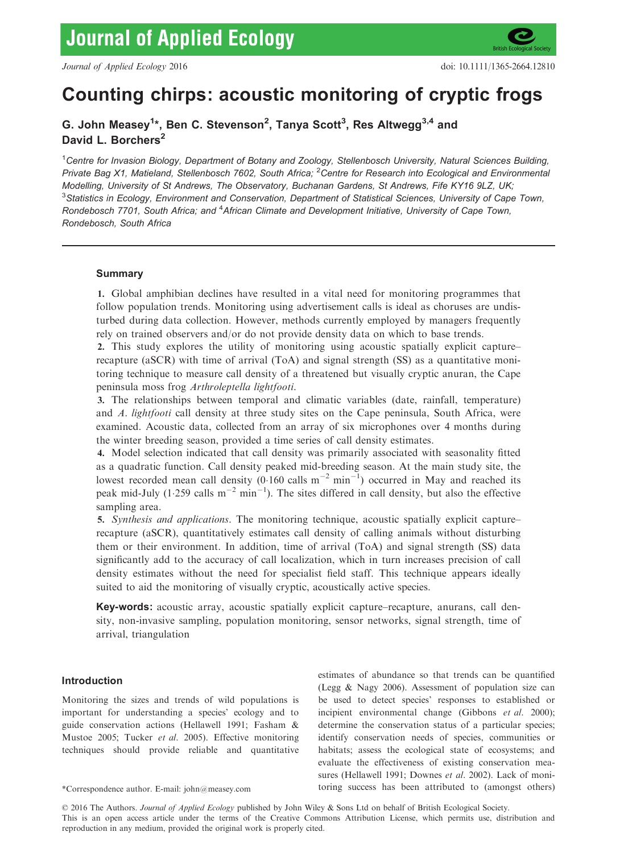

# Counting chirps: acoustic monitoring of cryptic frogs

G. John Measey<sup>1</sup>\*, Ben C. Stevenson<sup>2</sup>, Tanya Scott<sup>3</sup>, Res Altwegg<sup>3,4</sup> and David L. Borchers<sup>2</sup>

<sup>1</sup>Centre for Invasion Biology, Department of Botany and Zoology, Stellenbosch University, Natural Sciences Building, Private Bag X1, Matieland, Stellenbosch 7602, South Africa; <sup>2</sup>Centre for Research into Ecological and Environmental Modelling, University of St Andrews, The Observatory, Buchanan Gardens, St Andrews, Fife KY16 9LZ, UK;  $^3$ Statistics in Ecology, Environment and Conservation, Department of Statistical Sciences, University of Cape Town, Rondebosch 7701, South Africa; and <sup>4</sup>African Climate and Development Initiative, University of Cape Town, Rondebosch, South Africa

# Summary

1. Global amphibian declines have resulted in a vital need for monitoring programmes that follow population trends. Monitoring using advertisement calls is ideal as choruses are undisturbed during data collection. However, methods currently employed by managers frequently rely on trained observers and/or do not provide density data on which to base trends.

2. This study explores the utility of monitoring using acoustic spatially explicit capture– recapture (aSCR) with time of arrival (ToA) and signal strength (SS) as a quantitative monitoring technique to measure call density of a threatened but visually cryptic anuran, the Cape peninsula moss frog Arthroleptella lightfooti.

3. The relationships between temporal and climatic variables (date, rainfall, temperature) and A. lightfooti call density at three study sites on the Cape peninsula, South Africa, were examined. Acoustic data, collected from an array of six microphones over 4 months during the winter breeding season, provided a time series of call density estimates.

4. Model selection indicated that call density was primarily associated with seasonality fitted as a quadratic function. Call density peaked mid-breeding season. At the main study site, the lowest recorded mean call density (0.160 calls  $m^{-2}$  min<sup>-1</sup>) occurred in May and reached its peak mid-July (1.259 calls  $m^{-2}$  min<sup>-1</sup>). The sites differed in call density, but also the effective sampling area.

5. Synthesis and applications. The monitoring technique, acoustic spatially explicit capture– recapture (aSCR), quantitatively estimates call density of calling animals without disturbing them or their environment. In addition, time of arrival (ToA) and signal strength (SS) data significantly add to the accuracy of call localization, which in turn increases precision of call density estimates without the need for specialist field staff. This technique appears ideally suited to aid the monitoring of visually cryptic, acoustically active species.

Key-words: acoustic array, acoustic spatially explicit capture–recapture, anurans, call density, non-invasive sampling, population monitoring, sensor networks, signal strength, time of arrival, triangulation

# Introduction

Monitoring the sizes and trends of wild populations is important for understanding a species' ecology and to guide conservation actions (Hellawell 1991; Fasham & Mustoe 2005; Tucker et al. 2005). Effective monitoring techniques should provide reliable and quantitative

estimates of abundance so that trends can be quantified (Legg & Nagy 2006). Assessment of population size can be used to detect species' responses to established or incipient environmental change (Gibbons et al. 2000); determine the conservation status of a particular species; identify conservation needs of species, communities or habitats; assess the ecological state of ecosystems; and evaluate the effectiveness of existing conservation measures (Hellawell 1991; Downes et al. 2002). Lack of moni- \*Correspondence author. E-mail: john@measey.com toring success has been attributed to (amongst others)

© 2016 The Authors. Journal of Applied Ecology published by John Wiley & Sons Ltd on behalf of British Ecological Society.

This is an open access article under the terms of the [Creative Commons Attribution](http://creativecommons.org/licenses/by/4.0/) License, which permits use, distribution and reproduction in any medium, provided the original work is properly cited.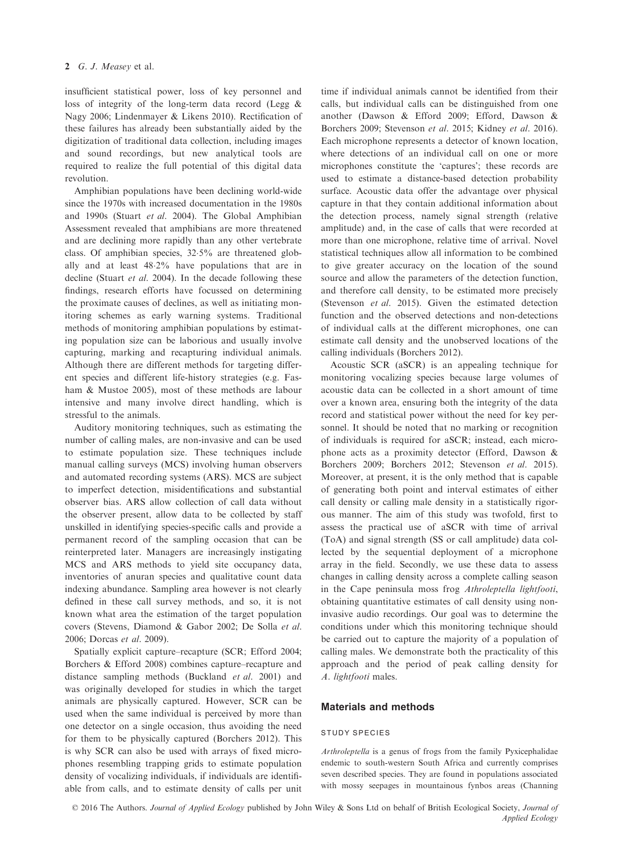insufficient statistical power, loss of key personnel and loss of integrity of the long-term data record (Legg & Nagy 2006; Lindenmayer & Likens 2010). Rectification of these failures has already been substantially aided by the digitization of traditional data collection, including images and sound recordings, but new analytical tools are required to realize the full potential of this digital data revolution.

Amphibian populations have been declining world-wide since the 1970s with increased documentation in the 1980s and 1990s (Stuart et al. 2004). The Global Amphibian Assessment revealed that amphibians are more threatened and are declining more rapidly than any other vertebrate class. Of amphibian species, 325% are threatened globally and at least 482% have populations that are in decline (Stuart et al. 2004). In the decade following these findings, research efforts have focussed on determining the proximate causes of declines, as well as initiating monitoring schemes as early warning systems. Traditional methods of monitoring amphibian populations by estimating population size can be laborious and usually involve capturing, marking and recapturing individual animals. Although there are different methods for targeting different species and different life-history strategies (e.g. Fasham & Mustoe 2005), most of these methods are labour intensive and many involve direct handling, which is stressful to the animals.

Auditory monitoring techniques, such as estimating the number of calling males, are non-invasive and can be used to estimate population size. These techniques include manual calling surveys (MCS) involving human observers and automated recording systems (ARS). MCS are subject to imperfect detection, misidentifications and substantial observer bias. ARS allow collection of call data without the observer present, allow data to be collected by staff unskilled in identifying species-specific calls and provide a permanent record of the sampling occasion that can be reinterpreted later. Managers are increasingly instigating MCS and ARS methods to yield site occupancy data, inventories of anuran species and qualitative count data indexing abundance. Sampling area however is not clearly defined in these call survey methods, and so, it is not known what area the estimation of the target population covers (Stevens, Diamond & Gabor 2002; De Solla et al. 2006; Dorcas et al. 2009).

Spatially explicit capture–recapture (SCR; Efford 2004; Borchers & Efford 2008) combines capture–recapture and distance sampling methods (Buckland et al. 2001) and was originally developed for studies in which the target animals are physically captured. However, SCR can be used when the same individual is perceived by more than one detector on a single occasion, thus avoiding the need for them to be physically captured (Borchers 2012). This is why SCR can also be used with arrays of fixed microphones resembling trapping grids to estimate population density of vocalizing individuals, if individuals are identifiable from calls, and to estimate density of calls per unit

time if individual animals cannot be identified from their calls, but individual calls can be distinguished from one another (Dawson & Efford 2009; Efford, Dawson & Borchers 2009; Stevenson et al. 2015; Kidney et al. 2016). Each microphone represents a detector of known location, where detections of an individual call on one or more microphones constitute the 'captures'; these records are used to estimate a distance-based detection probability surface. Acoustic data offer the advantage over physical capture in that they contain additional information about the detection process, namely signal strength (relative amplitude) and, in the case of calls that were recorded at more than one microphone, relative time of arrival. Novel statistical techniques allow all information to be combined to give greater accuracy on the location of the sound source and allow the parameters of the detection function, and therefore call density, to be estimated more precisely (Stevenson et al. 2015). Given the estimated detection function and the observed detections and non-detections of individual calls at the different microphones, one can estimate call density and the unobserved locations of the calling individuals (Borchers 2012).

Acoustic SCR (aSCR) is an appealing technique for monitoring vocalizing species because large volumes of acoustic data can be collected in a short amount of time over a known area, ensuring both the integrity of the data record and statistical power without the need for key personnel. It should be noted that no marking or recognition of individuals is required for aSCR; instead, each microphone acts as a proximity detector (Efford, Dawson & Borchers 2009; Borchers 2012; Stevenson et al. 2015). Moreover, at present, it is the only method that is capable of generating both point and interval estimates of either call density or calling male density in a statistically rigorous manner. The aim of this study was twofold, first to assess the practical use of aSCR with time of arrival (ToA) and signal strength (SS or call amplitude) data collected by the sequential deployment of a microphone array in the field. Secondly, we use these data to assess changes in calling density across a complete calling season in the Cape peninsula moss frog Athroleptella lightfooti, obtaining quantitative estimates of call density using noninvasive audio recordings. Our goal was to determine the conditions under which this monitoring technique should be carried out to capture the majority of a population of calling males. We demonstrate both the practicality of this approach and the period of peak calling density for A. lightfooti males.

# Materials and methods

## STUDY SPECIES

Arthroleptella is a genus of frogs from the family Pyxicephalidae endemic to south-western South Africa and currently comprises seven described species. They are found in populations associated with mossy seepages in mountainous fynbos areas (Channing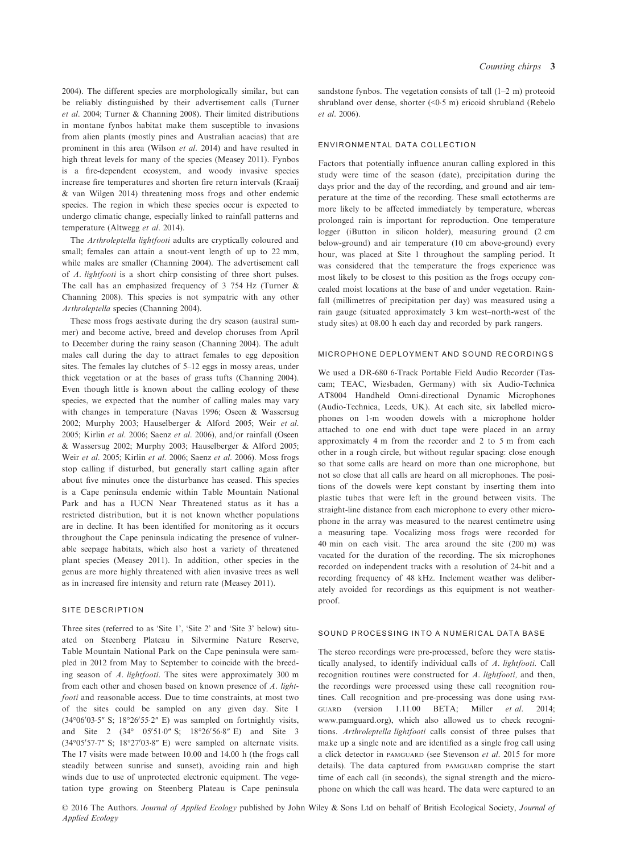2004). The different species are morphologically similar, but can be reliably distinguished by their advertisement calls (Turner et al. 2004; Turner & Channing 2008). Their limited distributions in montane fynbos habitat make them susceptible to invasions from alien plants (mostly pines and Australian acacias) that are prominent in this area (Wilson et al. 2014) and have resulted in high threat levels for many of the species (Measey 2011). Fynbos is a fire-dependent ecosystem, and woody invasive species increase fire temperatures and shorten fire return intervals (Kraaij & van Wilgen 2014) threatening moss frogs and other endemic species. The region in which these species occur is expected to undergo climatic change, especially linked to rainfall patterns and temperature (Altwegg et al. 2014).

The Arthroleptella lightfooti adults are cryptically coloured and small; females can attain a snout-vent length of up to 22 mm, while males are smaller (Channing 2004). The advertisement call of A. lightfooti is a short chirp consisting of three short pulses. The call has an emphasized frequency of 3 754 Hz (Turner & Channing 2008). This species is not sympatric with any other Arthroleptella species (Channing 2004).

These moss frogs aestivate during the dry season (austral summer) and become active, breed and develop choruses from April to December during the rainy season (Channing 2004). The adult males call during the day to attract females to egg deposition sites. The females lay clutches of 5–12 eggs in mossy areas, under thick vegetation or at the bases of grass tufts (Channing 2004). Even though little is known about the calling ecology of these species, we expected that the number of calling males may vary with changes in temperature (Navas 1996; Oseen & Wassersug 2002; Murphy 2003; Hauselberger & Alford 2005; Weir et al. 2005; Kirlin et al. 2006; Saenz et al. 2006), and/or rainfall (Oseen & Wassersug 2002; Murphy 2003; Hauselberger & Alford 2005; Weir et al. 2005; Kirlin et al. 2006; Saenz et al. 2006). Moss frogs stop calling if disturbed, but generally start calling again after about five minutes once the disturbance has ceased. This species is a Cape peninsula endemic within Table Mountain National Park and has a IUCN Near Threatened status as it has a restricted distribution, but it is not known whether populations are in decline. It has been identified for monitoring as it occurs throughout the Cape peninsula indicating the presence of vulnerable seepage habitats, which also host a variety of threatened plant species (Measey 2011). In addition, other species in the genus are more highly threatened with alien invasive trees as well as in increased fire intensity and return rate (Measey 2011).

#### SITE DESCRIPTION

Three sites (referred to as 'Site 1', 'Site 2' and 'Site 3' below) situated on Steenberg Plateau in Silvermine Nature Reserve, Table Mountain National Park on the Cape peninsula were sampled in 2012 from May to September to coincide with the breeding season of A. lightfooti. The sites were approximately 300 m from each other and chosen based on known presence of A. lightfooti and reasonable access. Due to time constraints, at most two of the sites could be sampled on any given day. Site 1  $(34^{\circ}06'03.5'' \text{ S}; 18^{\circ}26'55.2'' \text{ E})$  was sampled on fortnightly visits, and Site 2  $(34^{\circ} \quad 05'51 \cdot 0'' \text{ S}; \quad 18^{\circ}26'56 \cdot 8'' \text{ E})$  and Site 3  $(34^{\circ}05'57 \cdot 7'' \text{ S}; 18^{\circ}27'03 \cdot 8'' \text{ E})$  were sampled on alternate visits. The 17 visits were made between 10.00 and 14.00 h (the frogs call steadily between sunrise and sunset), avoiding rain and high winds due to use of unprotected electronic equipment. The vegetation type growing on Steenberg Plateau is Cape peninsula sandstone fynbos. The vegetation consists of tall (1–2 m) proteoid shrubland over dense, shorter (<05 m) ericoid shrubland (Rebelo et al. 2006).

### ENVIRONMENTAL DATA COLLECTION

Factors that potentially influence anuran calling explored in this study were time of the season (date), precipitation during the days prior and the day of the recording, and ground and air temperature at the time of the recording. These small ectotherms are more likely to be affected immediately by temperature, whereas prolonged rain is important for reproduction. One temperature logger (iButton in silicon holder), measuring ground (2 cm below-ground) and air temperature (10 cm above-ground) every hour, was placed at Site 1 throughout the sampling period. It was considered that the temperature the frogs experience was most likely to be closest to this position as the frogs occupy concealed moist locations at the base of and under vegetation. Rainfall (millimetres of precipitation per day) was measured using a rain gauge (situated approximately 3 km west–north-west of the study sites) at 08.00 h each day and recorded by park rangers.

## MICROPHONE DEPLOYMENT AND SOUND RECORDINGS

We used a DR-680 6-Track Portable Field Audio Recorder (Tascam; TEAC, Wiesbaden, Germany) with six Audio-Technica AT8004 Handheld Omni-directional Dynamic Microphones (Audio-Technica, Leeds, UK). At each site, six labelled microphones on 1-m wooden dowels with a microphone holder attached to one end with duct tape were placed in an array approximately 4 m from the recorder and 2 to 5 m from each other in a rough circle, but without regular spacing: close enough so that some calls are heard on more than one microphone, but not so close that all calls are heard on all microphones. The positions of the dowels were kept constant by inserting them into plastic tubes that were left in the ground between visits. The straight-line distance from each microphone to every other microphone in the array was measured to the nearest centimetre using a measuring tape. Vocalizing moss frogs were recorded for 40 min on each visit. The area around the site (200 m) was vacated for the duration of the recording. The six microphones recorded on independent tracks with a resolution of 24-bit and a recording frequency of 48 kHz. Inclement weather was deliberately avoided for recordings as this equipment is not weatherproof.

### SOUND PROCESSING INTO A NUMERICAL DATA BASE

The stereo recordings were pre-processed, before they were statistically analysed, to identify individual calls of A. lightfooti. Call recognition routines were constructed for A. lightfooti, and then, the recordings were processed using these call recognition routines. Call recognition and pre-processing was done using PAM-GUARD (version 1.11.00 BETA; Miller et al. 2014; [www.pamguard.org\)](http://www.pamguard.org), which also allowed us to check recognitions. Arthroleptella lightfooti calls consist of three pulses that make up a single note and are identified as a single frog call using a click detector in PAMGUARD (see Stevenson et al. 2015 for more details). The data captured from PAMGUARD comprise the start time of each call (in seconds), the signal strength and the microphone on which the call was heard. The data were captured to an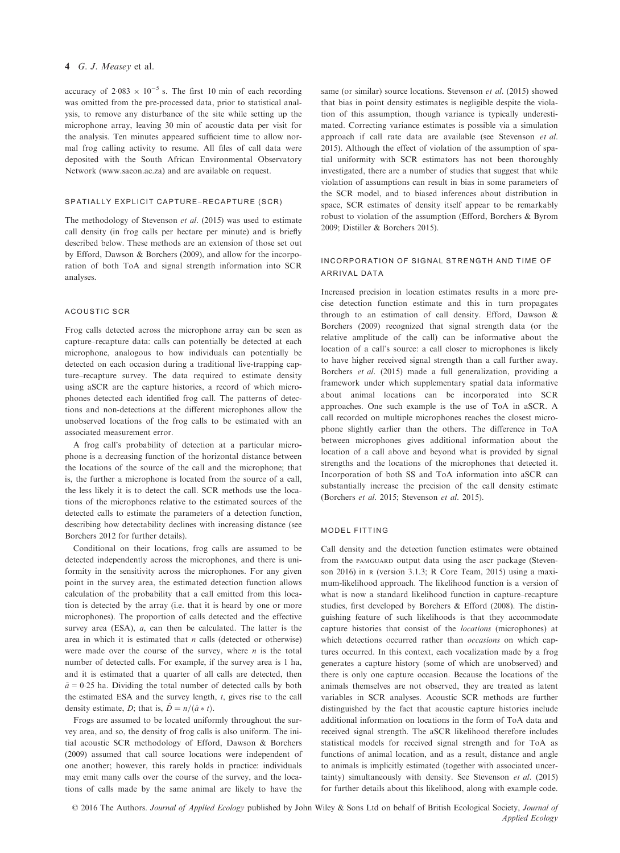### 4 G. J. Measey et al.

accuracy of  $2.083 \times 10^{-5}$  s. The first 10 min of each recording was omitted from the pre-processed data, prior to statistical analysis, to remove any disturbance of the site while setting up the microphone array, leaving 30 min of acoustic data per visit for the analysis. Ten minutes appeared sufficient time to allow normal frog calling activity to resume. All files of call data were deposited with the South African Environmental Observatory Network ([www.saeon.ac.za\)](http://www.saeon.ac.za) and are available on request.

#### SPATIALLY EXPLICIT CAPTURE–RECAPTURE (SCR)

The methodology of Stevenson et al. (2015) was used to estimate call density (in frog calls per hectare per minute) and is briefly described below. These methods are an extension of those set out by Efford, Dawson & Borchers (2009), and allow for the incorporation of both ToA and signal strength information into SCR analyses.

### ACOUSTIC SCR

Frog calls detected across the microphone array can be seen as capture–recapture data: calls can potentially be detected at each microphone, analogous to how individuals can potentially be detected on each occasion during a traditional live-trapping capture–recapture survey. The data required to estimate density using aSCR are the capture histories, a record of which microphones detected each identified frog call. The patterns of detections and non-detections at the different microphones allow the unobserved locations of the frog calls to be estimated with an associated measurement error.

A frog call's probability of detection at a particular microphone is a decreasing function of the horizontal distance between the locations of the source of the call and the microphone; that is, the further a microphone is located from the source of a call, the less likely it is to detect the call. SCR methods use the locations of the microphones relative to the estimated sources of the detected calls to estimate the parameters of a detection function, describing how detectability declines with increasing distance (see Borchers 2012 for further details).

Conditional on their locations, frog calls are assumed to be detected independently across the microphones, and there is uniformity in the sensitivity across the microphones. For any given point in the survey area, the estimated detection function allows calculation of the probability that a call emitted from this location is detected by the array (i.e. that it is heard by one or more microphones). The proportion of calls detected and the effective survey area (ESA), *a*, can then be calculated. The latter is the area in which it is estimated that  $n$  calls (detected or otherwise) were made over the course of the survey, where  $n$  is the total number of detected calls. For example, if the survey area is 1 ha, and it is estimated that a quarter of all calls are detected, then  $\hat{a}$  = 0.25 ha. Dividing the total number of detected calls by both the estimated ESA and the survey length,  $t$ , gives rise to the call density estimate, D; that is,  $\hat{D} = n/(\hat{a} * t)$ .

Frogs are assumed to be located uniformly throughout the survey area, and so, the density of frog calls is also uniform. The initial acoustic SCR methodology of Efford, Dawson & Borchers (2009) assumed that call source locations were independent of one another; however, this rarely holds in practice: individuals may emit many calls over the course of the survey, and the locations of calls made by the same animal are likely to have the same (or similar) source locations. Stevenson et al. (2015) showed that bias in point density estimates is negligible despite the violation of this assumption, though variance is typically underestimated. Correcting variance estimates is possible via a simulation approach if call rate data are available (see Stevenson et al. 2015). Although the effect of violation of the assumption of spatial uniformity with SCR estimators has not been thoroughly investigated, there are a number of studies that suggest that while violation of assumptions can result in bias in some parameters of the SCR model, and to biased inferences about distribution in space, SCR estimates of density itself appear to be remarkably robust to violation of the assumption (Efford, Borchers & Byrom 2009; Distiller & Borchers 2015).

# INCORPORATION OF SIGNAL STRENGTH AND TIME OF ARRIVAL DATA

Increased precision in location estimates results in a more precise detection function estimate and this in turn propagates through to an estimation of call density. Efford, Dawson & Borchers (2009) recognized that signal strength data (or the relative amplitude of the call) can be informative about the location of a call's source: a call closer to microphones is likely to have higher received signal strength than a call further away. Borchers et al. (2015) made a full generalization, providing a framework under which supplementary spatial data informative about animal locations can be incorporated into SCR approaches. One such example is the use of ToA in aSCR. A call recorded on multiple microphones reaches the closest microphone slightly earlier than the others. The difference in ToA between microphones gives additional information about the location of a call above and beyond what is provided by signal strengths and the locations of the microphones that detected it. Incorporation of both SS and ToA information into aSCR can substantially increase the precision of the call density estimate (Borchers et al. 2015; Stevenson et al. 2015).

# MODEL FITTING

Call density and the detection function estimates were obtained from the PAMGUARD output data using the ascr package (Stevenson 2016) in <sup>R</sup> (version 3.1.3; R Core Team, 2015) using a maximum-likelihood approach. The likelihood function is a version of what is now a standard likelihood function in capture–recapture studies, first developed by Borchers & Efford (2008). The distinguishing feature of such likelihoods is that they accommodate capture histories that consist of the locations (microphones) at which detections occurred rather than occasions on which captures occurred. In this context, each vocalization made by a frog generates a capture history (some of which are unobserved) and there is only one capture occasion. Because the locations of the animals themselves are not observed, they are treated as latent variables in SCR analyses. Acoustic SCR methods are further distinguished by the fact that acoustic capture histories include additional information on locations in the form of ToA data and received signal strength. The aSCR likelihood therefore includes statistical models for received signal strength and for ToA as functions of animal location, and as a result, distance and angle to animals is implicitly estimated (together with associated uncertainty) simultaneously with density. See Stevenson et al. (2015) for further details about this likelihood, along with example code.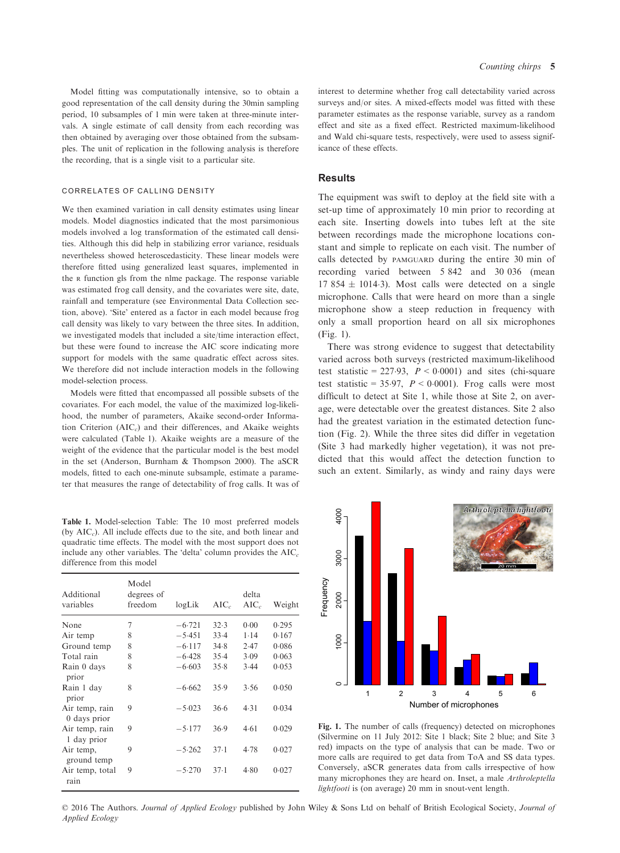Model fitting was computationally intensive, so to obtain a good representation of the call density during the 30min sampling period, 10 subsamples of 1 min were taken at three-minute intervals. A single estimate of call density from each recording was then obtained by averaging over those obtained from the subsamples. The unit of replication in the following analysis is therefore the recording, that is a single visit to a particular site.

## CORRELATES OF CALLING DENSITY

We then examined variation in call density estimates using linear models. Model diagnostics indicated that the most parsimonious models involved a log transformation of the estimated call densities. Although this did help in stabilizing error variance, residuals nevertheless showed heteroscedasticity. These linear models were therefore fitted using generalized least squares, implemented in the <sup>R</sup> function gls from the nlme package. The response variable was estimated frog call density, and the covariates were site, date, rainfall and temperature (see Environmental Data Collection section, above). 'Site' entered as a factor in each model because frog call density was likely to vary between the three sites. In addition, we investigated models that included a site/time interaction effect, but these were found to increase the AIC score indicating more support for models with the same quadratic effect across sites. We therefore did not include interaction models in the following model-selection process.

Models were fitted that encompassed all possible subsets of the covariates. For each model, the value of the maximized log-likelihood, the number of parameters, Akaike second-order Information Criterion  $(AIC<sub>c</sub>)$  and their differences, and Akaike weights were calculated (Table 1). Akaike weights are a measure of the weight of the evidence that the particular model is the best model in the set (Anderson, Burnham & Thompson 2000). The aSCR models, fitted to each one-minute subsample, estimate a parameter that measures the range of detectability of frog calls. It was of

Table 1. Model-selection Table: The 10 most preferred models (by  $AIC<sub>c</sub>$ ). All include effects due to the site, and both linear and quadratic time effects. The model with the most support does not include any other variables. The 'delta' column provides the  $AIC<sub>c</sub>$ difference from this model

| Additional<br>variables        | Model<br>degrees of<br>freedom | logLik   | $AIC_{c}$ | delta<br>$AIC_c$ | Weight |
|--------------------------------|--------------------------------|----------|-----------|------------------|--------|
| None                           | 7                              | $-6.721$ | 32.3      | 0.00             | 0.295  |
| Air temp                       | 8                              | $-5.451$ | 33.4      | 1.14             | 0.167  |
| Ground temp                    | 8                              | $-6.117$ | 34.8      | 2.47             | 0.086  |
| Total rain                     | 8                              | $-6.428$ | 35.4      | 3.09             | 0.063  |
| Rain 0 days<br>prior           | 8                              | $-6.603$ | 35.8      | 3.44             | 0.053  |
| Rain 1 day<br>prior            | 8                              | $-6.662$ | 35.9      | 3.56             | 0.050  |
| Air temp, rain<br>0 days prior | 9                              | $-5.023$ | 36.6      | 4.31             | 0.034  |
| Air temp, rain<br>1 day prior  | 9                              | $-5.177$ | 36.9      | 4.61             | 0.029  |
| Air temp,<br>ground temp       | 9                              | $-5.262$ | $37-1$    | 4.78             | 0.027  |
| Air temp, total<br>rain        | 9                              | $-5.270$ | $37-1$    | 4.80             | 0.027  |
|                                |                                |          |           |                  |        |

interest to determine whether frog call detectability varied across surveys and/or sites. A mixed-effects model was fitted with these parameter estimates as the response variable, survey as a random effect and site as a fixed effect. Restricted maximum-likelihood and Wald chi-square tests, respectively, were used to assess significance of these effects.

## **Results**

The equipment was swift to deploy at the field site with a set-up time of approximately 10 min prior to recording at each site. Inserting dowels into tubes left at the site between recordings made the microphone locations constant and simple to replicate on each visit. The number of calls detected by PAMGUARD during the entire 30 min of recording varied between 5 842 and 30 036 (mean  $17854 \pm 10143$ ). Most calls were detected on a single microphone. Calls that were heard on more than a single microphone show a steep reduction in frequency with only a small proportion heard on all six microphones (Fig. 1).

There was strong evidence to suggest that detectability varied across both surveys (restricted maximum-likelihood test statistic = 227.93,  $P < 0.0001$ ) and sites (chi-square test statistic = 35.97,  $P \le 0.0001$ ). Frog calls were most difficult to detect at Site 1, while those at Site 2, on average, were detectable over the greatest distances. Site 2 also had the greatest variation in the estimated detection function (Fig. 2). While the three sites did differ in vegetation (Site 3 had markedly higher vegetation), it was not predicted that this would affect the detection function to such an extent. Similarly, as windy and rainy days were



Fig. 1. The number of calls (frequency) detected on microphones (Silvermine on 11 July 2012: Site 1 black; Site 2 blue; and Site 3 red) impacts on the type of analysis that can be made. Two or more calls are required to get data from ToA and SS data types. Conversely, aSCR generates data from calls irrespective of how many microphones they are heard on. Inset, a male Arthroleptella lightfooti is (on average) 20 mm in snout-vent length.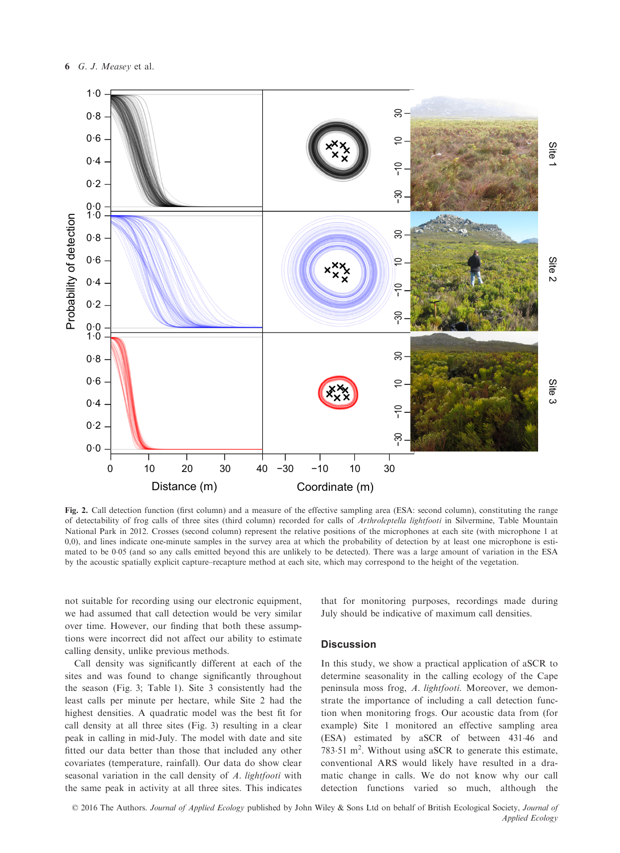

Fig. 2. Call detection function (first column) and a measure of the effective sampling area (ESA: second column), constituting the range of detectability of frog calls of three sites (third column) recorded for calls of Arthroleptella lightfooti in Silvermine, Table Mountain National Park in 2012. Crosses (second column) represent the relative positions of the microphones at each site (with microphone 1 at 0,0), and lines indicate one-minute samples in the survey area at which the probability of detection by at least one microphone is estimated to be 005 (and so any calls emitted beyond this are unlikely to be detected). There was a large amount of variation in the ESA by the acoustic spatially explicit capture–recapture method at each site, which may correspond to the height of the vegetation.

not suitable for recording using our electronic equipment, we had assumed that call detection would be very similar over time. However, our finding that both these assumptions were incorrect did not affect our ability to estimate calling density, unlike previous methods.

Call density was significantly different at each of the sites and was found to change significantly throughout the season (Fig. 3; Table 1). Site 3 consistently had the least calls per minute per hectare, while Site 2 had the highest densities. A quadratic model was the best fit for call density at all three sites (Fig. 3) resulting in a clear peak in calling in mid-July. The model with date and site fitted our data better than those that included any other covariates (temperature, rainfall). Our data do show clear seasonal variation in the call density of A. lightfooti with the same peak in activity at all three sites. This indicates

that for monitoring purposes, recordings made during July should be indicative of maximum call densities.

# **Discussion**

In this study, we show a practical application of aSCR to determine seasonality in the calling ecology of the Cape peninsula moss frog, A. lightfooti. Moreover, we demonstrate the importance of including a call detection function when monitoring frogs. Our acoustic data from (for example) Site 1 monitored an effective sampling area (ESA) estimated by aSCR of between 43146 and 783.51 m<sup>2</sup>. Without using aSCR to generate this estimate, conventional ARS would likely have resulted in a dramatic change in calls. We do not know why our call detection functions varied so much, although the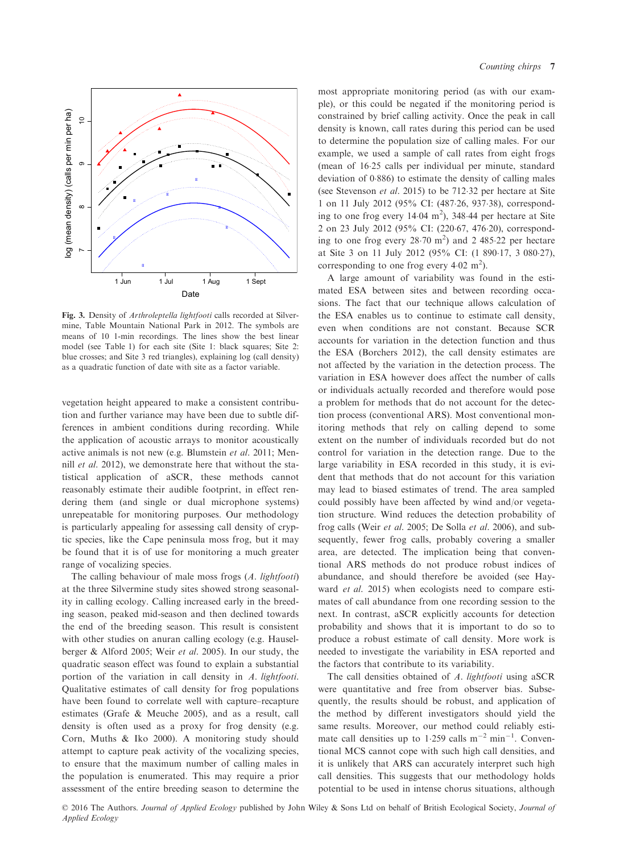

Fig. 3. Density of Arthroleptella lightfooti calls recorded at Silvermine, Table Mountain National Park in 2012. The symbols are means of 10 1-min recordings. The lines show the best linear model (see Table 1) for each site (Site 1: black squares; Site 2: blue crosses; and Site 3 red triangles), explaining log (call density) as a quadratic function of date with site as a factor variable.

vegetation height appeared to make a consistent contribution and further variance may have been due to subtle differences in ambient conditions during recording. While the application of acoustic arrays to monitor acoustically active animals is not new (e.g. Blumstein et al. 2011; Mennill et al. 2012), we demonstrate here that without the statistical application of aSCR, these methods cannot reasonably estimate their audible footprint, in effect rendering them (and single or dual microphone systems) unrepeatable for monitoring purposes. Our methodology is particularly appealing for assessing call density of cryptic species, like the Cape peninsula moss frog, but it may be found that it is of use for monitoring a much greater range of vocalizing species.

The calling behaviour of male moss frogs (A. lightfooti) at the three Silvermine study sites showed strong seasonality in calling ecology. Calling increased early in the breeding season, peaked mid-season and then declined towards the end of the breeding season. This result is consistent with other studies on anuran calling ecology (e.g. Hauselberger & Alford 2005; Weir et al. 2005). In our study, the quadratic season effect was found to explain a substantial portion of the variation in call density in A. lightfooti. Qualitative estimates of call density for frog populations have been found to correlate well with capture–recapture estimates (Grafe & Meuche 2005), and as a result, call density is often used as a proxy for frog density (e.g. Corn, Muths & Iko 2000). A monitoring study should attempt to capture peak activity of the vocalizing species, to ensure that the maximum number of calling males in the population is enumerated. This may require a prior assessment of the entire breeding season to determine the

most appropriate monitoring period (as with our example), or this could be negated if the monitoring period is constrained by brief calling activity. Once the peak in call density is known, call rates during this period can be used to determine the population size of calling males. For our example, we used a sample of call rates from eight frogs (mean of 1625 calls per individual per minute, standard deviation of 0886) to estimate the density of calling males (see Stevenson et al. 2015) to be 71232 per hectare at Site 1 on 11 July 2012 (95% CI: (48726, 93738), corresponding to one frog every  $14.04 \text{ m}^2$ ),  $348.44 \text{ per hectare at Site}$ 2 on 23 July 2012 (95% CI: (220.67, 476.20), corresponding to one frog every  $28.70 \text{ m}^2$ ) and  $2.485.22 \text{ per hectare}$ at Site 3 on 11 July 2012 (95% CI: (1 89017, 3 08027), corresponding to one frog every  $4.02 \text{ m}^2$ ).

A large amount of variability was found in the estimated ESA between sites and between recording occasions. The fact that our technique allows calculation of the ESA enables us to continue to estimate call density, even when conditions are not constant. Because SCR accounts for variation in the detection function and thus the ESA (Borchers 2012), the call density estimates are not affected by the variation in the detection process. The variation in ESA however does affect the number of calls or individuals actually recorded and therefore would pose a problem for methods that do not account for the detection process (conventional ARS). Most conventional monitoring methods that rely on calling depend to some extent on the number of individuals recorded but do not control for variation in the detection range. Due to the large variability in ESA recorded in this study, it is evident that methods that do not account for this variation may lead to biased estimates of trend. The area sampled could possibly have been affected by wind and/or vegetation structure. Wind reduces the detection probability of frog calls (Weir et al. 2005; De Solla et al. 2006), and subsequently, fewer frog calls, probably covering a smaller area, are detected. The implication being that conventional ARS methods do not produce robust indices of abundance, and should therefore be avoided (see Hayward *et al.* 2015) when ecologists need to compare estimates of call abundance from one recording session to the next. In contrast, aSCR explicitly accounts for detection probability and shows that it is important to do so to produce a robust estimate of call density. More work is needed to investigate the variability in ESA reported and the factors that contribute to its variability.

The call densities obtained of A. lightfooti using aSCR were quantitative and free from observer bias. Subsequently, the results should be robust, and application of the method by different investigators should yield the same results. Moreover, our method could reliably estimate call densities up to 1.259 calls  $m^{-2}$  min<sup>-1</sup>. Conventional MCS cannot cope with such high call densities, and it is unlikely that ARS can accurately interpret such high call densities. This suggests that our methodology holds potential to be used in intense chorus situations, although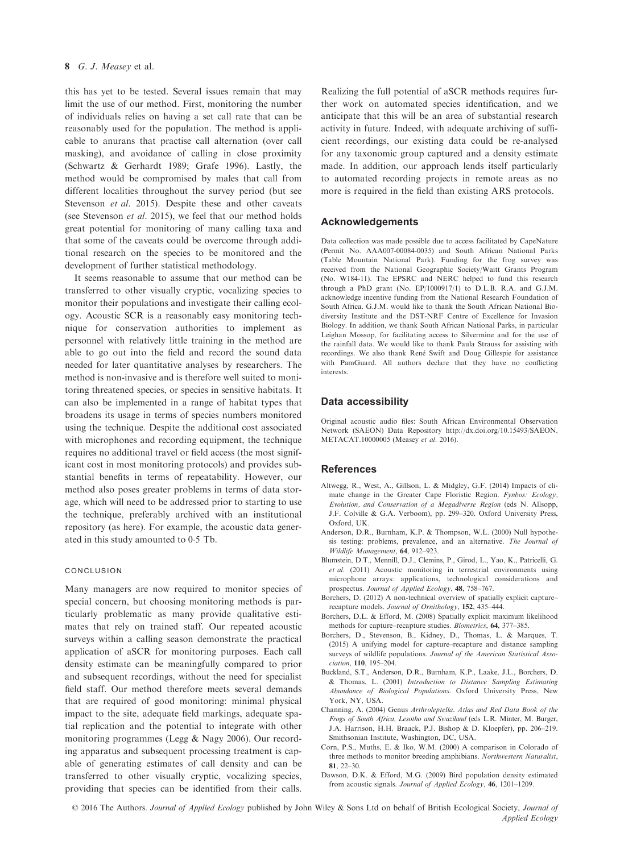## 8 G. J. Measey et al.

this has yet to be tested. Several issues remain that may limit the use of our method. First, monitoring the number of individuals relies on having a set call rate that can be reasonably used for the population. The method is applicable to anurans that practise call alternation (over call masking), and avoidance of calling in close proximity (Schwartz & Gerhardt 1989; Grafe 1996). Lastly, the method would be compromised by males that call from different localities throughout the survey period (but see Stevenson *et al.* 2015). Despite these and other caveats (see Stevenson et al. 2015), we feel that our method holds great potential for monitoring of many calling taxa and that some of the caveats could be overcome through additional research on the species to be monitored and the development of further statistical methodology.

It seems reasonable to assume that our method can be transferred to other visually cryptic, vocalizing species to monitor their populations and investigate their calling ecology. Acoustic SCR is a reasonably easy monitoring technique for conservation authorities to implement as personnel with relatively little training in the method are able to go out into the field and record the sound data needed for later quantitative analyses by researchers. The method is non-invasive and is therefore well suited to monitoring threatened species, or species in sensitive habitats. It can also be implemented in a range of habitat types that broadens its usage in terms of species numbers monitored using the technique. Despite the additional cost associated with microphones and recording equipment, the technique requires no additional travel or field access (the most significant cost in most monitoring protocols) and provides substantial benefits in terms of repeatability. However, our method also poses greater problems in terms of data storage, which will need to be addressed prior to starting to use the technique, preferably archived with an institutional repository (as here). For example, the acoustic data generated in this study amounted to 0.5 Tb.

## CONCLUSION

Many managers are now required to monitor species of special concern, but choosing monitoring methods is particularly problematic as many provide qualitative estimates that rely on trained staff. Our repeated acoustic surveys within a calling season demonstrate the practical application of aSCR for monitoring purposes. Each call density estimate can be meaningfully compared to prior and subsequent recordings, without the need for specialist field staff. Our method therefore meets several demands that are required of good monitoring: minimal physical impact to the site, adequate field markings, adequate spatial replication and the potential to integrate with other monitoring programmes (Legg & Nagy 2006). Our recording apparatus and subsequent processing treatment is capable of generating estimates of call density and can be transferred to other visually cryptic, vocalizing species, providing that species can be identified from their calls.

Realizing the full potential of aSCR methods requires further work on automated species identification, and we anticipate that this will be an area of substantial research activity in future. Indeed, with adequate archiving of sufficient recordings, our existing data could be re-analysed for any taxonomic group captured and a density estimate made. In addition, our approach lends itself particularly to automated recording projects in remote areas as no more is required in the field than existing ARS protocols.

## Acknowledgements

Data collection was made possible due to access facilitated by CapeNature (Permit No. AAA007-00084-0035) and South African National Parks (Table Mountain National Park). Funding for the frog survey was received from the National Geographic Society/Waitt Grants Program (No. W184-11). The EPSRC and NERC helped to fund this research through a PhD grant (No. EP/1000917/1) to D.L.B. R.A. and G.J.M. acknowledge incentive funding from the National Research Foundation of South Africa. G.J.M. would like to thank the South African National Biodiversity Institute and the DST-NRF Centre of Excellence for Invasion Biology. In addition, we thank South African National Parks, in particular Leighan Mossop, for facilitating access to Silvermine and for the use of the rainfall data. We would like to thank Paula Strauss for assisting with recordings. We also thank René Swift and Doug Gillespie for assistance with PamGuard. All authors declare that they have no conflicting interests.

## Data accessibility

Original acoustic audio files: South African Environmental Observation Network (SAEON) Data Repository [http://dx.doi.org/10.15493/SAEON.](http://dx.doi.org/10.15493/SAEON.METACAT.10000005) [METACAT.10000005](http://dx.doi.org/10.15493/SAEON.METACAT.10000005) (Measey et al. 2016).

## References

- Altwegg, R., West, A., Gillson, L. & Midgley, G.F. (2014) Impacts of climate change in the Greater Cape Floristic Region. Fynbos: Ecology, Evolution, and Conservation of a Megadiverse Region (eds N. Allsopp, J.F. Colville & G.A. Verboom), pp. 299–320. Oxford University Press, Oxford, UK.
- Anderson, D.R., Burnham, K.P. & Thompson, W.L. (2000) Null hypothesis testing: problems, prevalence, and an alternative. The Journal of Wildlife Management, 64, 912–923.
- Blumstein, D.T., Mennill, D.J., Clemins, P., Girod, L., Yao, K., Patricelli, G. et al. (2011) Acoustic monitoring in terrestrial environments using microphone arrays: applications, technological considerations and prospectus. Journal of Applied Ecology, 48, 758–767.
- Borchers, D. (2012) A non-technical overview of spatially explicit capture– recapture models. Journal of Ornithology, 152, 435–444.
- Borchers, D.L. & Efford, M. (2008) Spatially explicit maximum likelihood methods for capture–recapture studies. Biometrics, 64, 377–385.
- Borchers, D., Stevenson, B., Kidney, D., Thomas, L. & Marques, T. (2015) A unifying model for capture–recapture and distance sampling surveys of wildlife populations. Journal of the American Statistical Association, 110, 195–204.
- Buckland, S.T., Anderson, D.R., Burnham, K.P., Laake, J.L., Borchers, D. & Thomas, L. (2001) Introduction to Distance Sampling Estimating Abundance of Biological Populations. Oxford University Press, New York, NY, USA.
- Channing, A. (2004) Genus Arthroleptella. Atlas and Red Data Book of the Frogs of South Africa, Lesotho and Swaziland (eds L.R. Minter, M. Burger, J.A. Harrison, H.H. Braack, P.J. Bishop & D. Kloepfer), pp. 206–219. Smithsonian Institute, Washington, DC, USA.
- Corn, P.S., Muths, E. & Iko, W.M. (2000) A comparison in Colorado of three methods to monitor breeding amphibians. Northwestern Naturalist, 81, 22–30.
- Dawson, D.K. & Efford, M.G. (2009) Bird population density estimated from acoustic signals. Journal of Applied Ecology, 46, 1201–1209.